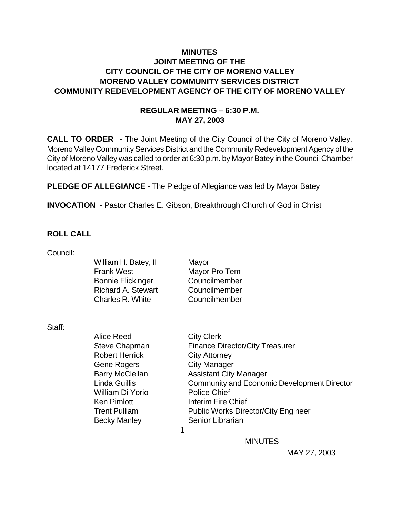# **MINUTES JOINT MEETING OF THE CITY COUNCIL OF THE CITY OF MORENO VALLEY MORENO VALLEY COMMUNITY SERVICES DISTRICT COMMUNITY REDEVELOPMENT AGENCY OF THE CITY OF MORENO VALLEY**

#### **REGULAR MEETING – 6:30 P.M. MAY 27, 2003**

**CALL TO ORDER** - The Joint Meeting of the City Council of the City of Moreno Valley, Moreno Valley Community Services District and the Community Redevelopment Agency of the City of Moreno Valley was called to order at 6:30 p.m. by Mayor Batey in the Council Chamber located at 14177 Frederick Street.

**PLEDGE OF ALLEGIANCE** - The Pledge of Allegiance was led by Mayor Batey

**INVOCATION** - Pastor Charles E. Gibson, Breakthrough Church of God in Christ

#### **ROLL CALL**

| Council: |                           |                                                    |
|----------|---------------------------|----------------------------------------------------|
|          | William H. Batey, II      | Mayor                                              |
|          | <b>Frank West</b>         | Mayor Pro Tem                                      |
|          | <b>Bonnie Flickinger</b>  | Councilmember                                      |
|          | <b>Richard A. Stewart</b> | Councilmember                                      |
|          | Charles R. White          | Councilmember                                      |
|          |                           |                                                    |
| Staff:   |                           |                                                    |
|          | <b>Alice Reed</b>         | <b>City Clerk</b>                                  |
|          | Steve Chapman             | <b>Finance Director/City Treasurer</b>             |
|          | <b>Robert Herrick</b>     | <b>City Attorney</b>                               |
|          | Gene Rogers               | <b>City Manager</b>                                |
|          | <b>Barry McClellan</b>    | <b>Assistant City Manager</b>                      |
|          | <b>Linda Guillis</b>      | <b>Community and Economic Development Director</b> |
|          | William Di Yorio          | <b>Police Chief</b>                                |
|          | <b>Ken Pimlott</b>        | Interim Fire Chief                                 |
|          | <b>Trent Pulliam</b>      | <b>Public Works Director/City Engineer</b>         |
|          | <b>Becky Manley</b>       | Senior Librarian                                   |
|          |                           | 1                                                  |
|          |                           | <b>MINUTES</b>                                     |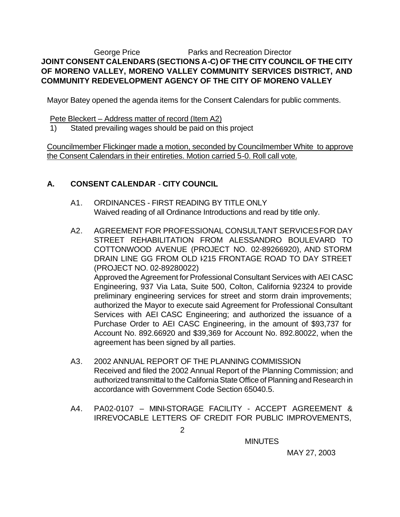## George Price **Parks and Recreation Director JOINT CONSENT CALENDARS (SECTIONS A-C) OF THE CITY COUNCIL OF THE CITY OF MORENO VALLEY, MORENO VALLEY COMMUNITY SERVICES DISTRICT, AND COMMUNITY REDEVELOPMENT AGENCY OF THE CITY OF MORENO VALLEY**

Mayor Batey opened the agenda items for the Consent Calendars for public comments.

Pete Bleckert – Address matter of record (Item A2)

1) Stated prevailing wages should be paid on this project

Councilmember Flickinger made a motion, seconded by Councilmember White to approve the Consent Calendars in their entireties. Motion carried 5-0. Roll call vote.

# **A. CONSENT CALENDAR** - **CITY COUNCIL**

- A1. ORDINANCES FIRST READING BY TITLE ONLY Waived reading of all Ordinance Introductions and read by title only.
- A2. AGREEMENT FOR PROFESSIONAL CONSULTANT SERVICES FOR DAY STREET REHABILITATION FROM ALESSANDRO BOULEVARD TO COTTONWOOD AVENUE (PROJECT NO. 02-89266920), AND STORM DRAIN LINE GG FROM OLD 1215 FRONTAGE ROAD TO DAY STREET (PROJECT NO. 02-89280022) Approved the Agreement for Professional Consultant Services with AEI CASC Engineering, 937 Via Lata, Suite 500, Colton, California 92324 to provide preliminary engineering services for street and storm drain improvements; authorized the Mayor to execute said Agreement for Professional Consultant Services with AEI CASC Engineering; and authorized the issuance of a Purchase Order to AEI CASC Engineering, in the amount of \$93,737 for Account No. 892.66920 and \$39,369 for Account No. 892.80022, when the agreement has been signed by all parties.
- A3. 2002 ANNUAL REPORT OF THE PLANNING COMMISSION Received and filed the 2002 Annual Report of the Planning Commission; and authorized transmittal to the California State Office of Planning and Research in accordance with Government Code Section 65040.5.
- A4. PA02-0107 MINI-STORAGE FACILITY ACCEPT AGREEMENT & IRREVOCABLE LETTERS OF CREDIT FOR PUBLIC IMPROVEMENTS,

**MINUTES**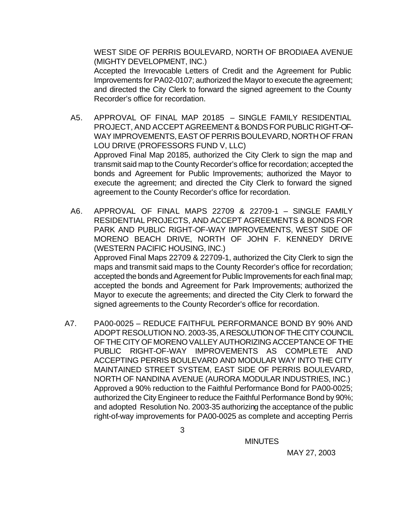WEST SIDE OF PERRIS BOULEVARD, NORTH OF BRODIAEA AVENUE (MIGHTY DEVELOPMENT, INC.)

Accepted the Irrevocable Letters of Credit and the Agreement for Public Improvements for PA02-0107; authorized the Mayor to execute the agreement; and directed the City Clerk to forward the signed agreement to the County Recorder's office for recordation.

- A5. APPROVAL OF FINAL MAP 20185 SINGLE FAMILY RESIDENTIAL PROJECT, AND ACCEPT AGREEMENT & BONDS FOR PUBLIC RIGHT-OF-WAY IMPROVEMENTS, EAST OF PERRIS BOULEVARD, NORTH OF FRAN LOU DRIVE (PROFESSORS FUND V, LLC) Approved Final Map 20185, authorized the City Clerk to sign the map and transmit said map to the County Recorder's office for recordation; accepted the bonds and Agreement for Public Improvements; authorized the Mayor to execute the agreement; and directed the City Clerk to forward the signed agreement to the County Recorder's office for recordation.
- A6. APPROVAL OF FINAL MAPS 22709 & 22709-1 SINGLE FAMILY RESIDENTIAL PROJECTS, AND ACCEPT AGREEMENTS & BONDS FOR PARK AND PUBLIC RIGHT-OF-WAY IMPROVEMENTS, WEST SIDE OF MORENO BEACH DRIVE, NORTH OF JOHN F. KENNEDY DRIVE (WESTERN PACIFIC HOUSING, INC.) Approved Final Maps 22709 & 22709-1, authorized the City Clerk to sign the maps and transmit said maps to the County Recorder's office for recordation; accepted the bonds and Agreement for Public Improvements for each final map; accepted the bonds and Agreement for Park Improvements; authorized the Mayor to execute the agreements; and directed the City Clerk to forward the signed agreements to the County Recorder's office for recordation.
- A7. PA00-0025 REDUCE FAITHFUL PERFORMANCE BOND BY 90% AND ADOPT RESOLUTION NO. 2003-35, A RESOLUTION OF THE CITY COUNCIL OF THE CITY OF MORENO VALLEY AUTHORIZING ACCEPTANCE OF THE PUBLIC RIGHT-OF-WAY IMPROVEMENTS AS COMPLETE AND ACCEPTING PERRIS BOULEVARD AND MODULAR WAY INTO THE CITY MAINTAINED STREET SYSTEM, EAST SIDE OF PERRIS BOULEVARD, NORTH OF NANDINA AVENUE (AURORA MODULAR INDUSTRIES, INC.) Approved a 90% reduction to the Faithful Performance Bond for PA00-0025; authorized the City Engineer to reduce the Faithful Performance Bond by 90%; and adopted Resolution No. 2003-35 authorizing the acceptance of the public right-of-way improvements for PA00-0025 as complete and accepting Perris

**MINUTES**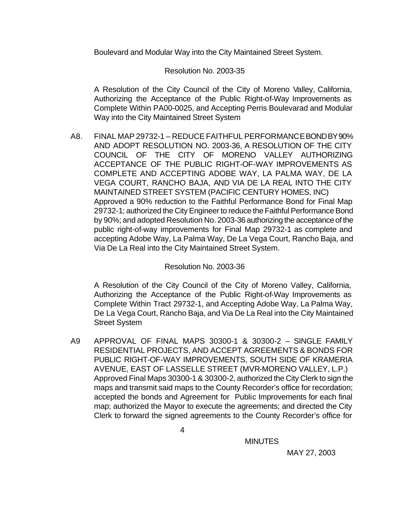Boulevard and Modular Way into the City Maintained Street System.

## Resolution No. 2003-35

A Resolution of the City Council of the City of Moreno Valley, California, Authorizing the Acceptance of the Public Right-of-Way Improvements as Complete Within PA00-0025, and Accepting Perris Boulevarad and Modular Way into the City Maintained Street System

A8. FINAL MAP 29732-1 – REDUCE FAITHFUL PERFORMANCE BOND BY 90% AND ADOPT RESOLUTION NO. 2003-36, A RESOLUTION OF THE CITY COUNCIL OF THE CITY OF MORENO VALLEY AUTHORIZING ACCEPTANCE OF THE PUBLIC RIGHT-OF-WAY IMPROVEMENTS AS COMPLETE AND ACCEPTING ADOBE WAY, LA PALMA WAY, DE LA VEGA COURT, RANCHO BAJA, AND VIA DE LA REAL INTO THE CITY MAINTAINED STREET SYSTEM (PACIFIC CENTURY HOMES, INC) Approved a 90% reduction to the Faithful Performance Bond for Final Map 29732-1; authorized the City Engineer to reduce the Faithful Performance Bond by 90%; and adopted Resolution No. 2003-36 authorizing the acceptance of the public right-of-way improvements for Final Map 29732-1 as complete and accepting Adobe Way, La Palma Way, De La Vega Court, Rancho Baja, and Via De La Real into the City Maintained Street System.

## Resolution No. 2003-36

A Resolution of the City Council of the City of Moreno Valley, California, Authorizing the Acceptance of the Public Right-of-Way Improvements as Complete Within Tract 29732-1, and Accepting Adobe Way, La Palma Way, De La Vega Court, Rancho Baja, and Via De La Real into the City Maintained Street System

A9 APPROVAL OF FINAL MAPS 30300-1 & 30300-2 – SINGLE FAMILY RESIDENTIAL PROJECTS, AND ACCEPT AGREEMENTS & BONDS FOR PUBLIC RIGHT-OF-WAY IMPROVEMENTS, SOUTH SIDE OF KRAMERIA AVENUE, EAST OF LASSELLE STREET (MVR-MORENO VALLEY, L.P.) Approved Final Maps 30300-1 & 30300-2, authorized the City Clerk to sign the maps and transmit said maps to the County Recorder's office for recordation; accepted the bonds and Agreement for Public Improvements for each final map; authorized the Mayor to execute the agreements; and directed the City Clerk to forward the signed agreements to the County Recorder's office for

**MINUTES**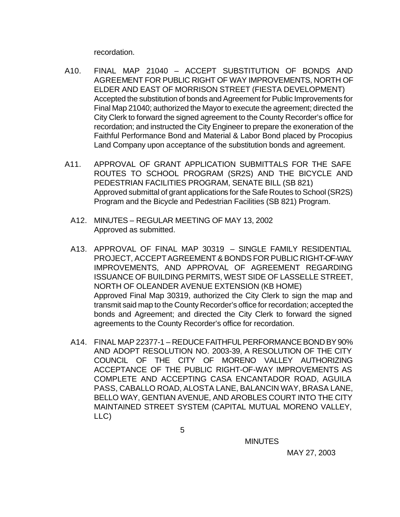recordation.

- A10. FINAL MAP 21040 ACCEPT SUBSTITUTION OF BONDS AND AGREEMENT FOR PUBLIC RIGHT OF WAY IMPROVEMENTS, NORTH OF ELDER AND EAST OF MORRISON STREET (FIESTA DEVELOPMENT) Accepted the substitution of bonds and Agreement for Public Improvements for Final Map 21040; authorized the Mayor to execute the agreement; directed the City Clerk to forward the signed agreement to the County Recorder's office for recordation; and instructed the City Engineer to prepare the exoneration of the Faithful Performance Bond and Material & Labor Bond placed by Procopius Land Company upon acceptance of the substitution bonds and agreement.
- A11. APPROVAL OF GRANT APPLICATION SUBMITTALS FOR THE SAFE ROUTES TO SCHOOL PROGRAM (SR2S) AND THE BICYCLE AND PEDESTRIAN FACILITIES PROGRAM, SENATE BILL (SB 821) Approved submittal of grant applications for the Safe Routes to School (SR2S) Program and the Bicycle and Pedestrian Facilities (SB 821) Program.
	- A12. MINUTES REGULAR MEETING OF MAY 13, 2002 Approved as submitted.
	- A13. APPROVAL OF FINAL MAP 30319 SINGLE FAMILY RESIDENTIAL PROJECT, ACCEPT AGREEMENT & BONDS FOR PUBLIC RIGHT-OF-WAY IMPROVEMENTS, AND APPROVAL OF AGREEMENT REGARDING ISSUANCE OF BUILDING PERMITS, WEST SIDE OF LASSELLE STREET, NORTH OF OLEANDER AVENUE EXTENSION (KB HOME) Approved Final Map 30319, authorized the City Clerk to sign the map and transmit said map to the County Recorder's office for recordation; accepted the bonds and Agreement; and directed the City Clerk to forward the signed agreements to the County Recorder's office for recordation.
	- A14. FINAL MAP 22377-1 REDUCE FAITHFUL PERFORMANCE BOND BY 90% AND ADOPT RESOLUTION NO. 2003-39, A RESOLUTION OF THE CITY COUNCIL OF THE CITY OF MORENO VALLEY AUTHORIZING ACCEPTANCE OF THE PUBLIC RIGHT-OF-WAY IMPROVEMENTS AS COMPLETE AND ACCEPTING CASA ENCANTADOR ROAD, AGUILA PASS, CABALLO ROAD, ALOSTA LANE, BALANCIN WAY, BRASA LANE, BELLO WAY, GENTIAN AVENUE, AND AROBLES COURT INTO THE CITY MAINTAINED STREET SYSTEM (CAPITAL MUTUAL MORENO VALLEY, LLC)

**MINUTES**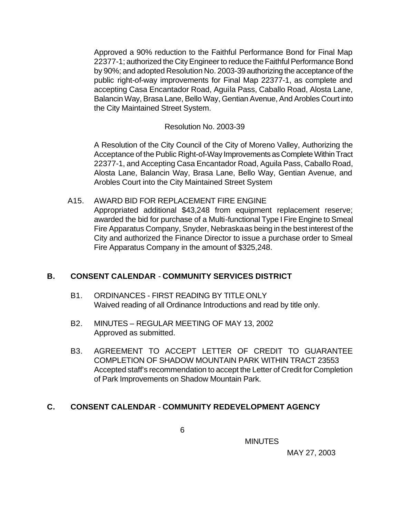Approved a 90% reduction to the Faithful Performance Bond for Final Map 22377-1; authorized the City Engineer to reduce the Faithful Performance Bond by 90%; and adopted Resolution No. 2003-39 authorizing the acceptance of the public right-of-way improvements for Final Map 22377-1, as complete and accepting Casa Encantador Road, Aguila Pass, Caballo Road, Alosta Lane, Balancin Way, Brasa Lane, Bello Way, Gentian Avenue, And Arobles Court into the City Maintained Street System.

#### Resolution No. 2003-39

A Resolution of the City Council of the City of Moreno Valley, Authorizing the Acceptance of the Public Right-of-Way Improvements as Complete Within Tract 22377-1, and Accepting Casa Encantador Road, Aguila Pass, Caballo Road, Alosta Lane, Balancin Way, Brasa Lane, Bello Way, Gentian Avenue, and Arobles Court into the City Maintained Street System

#### A15. AWARD BID FOR REPLACEMENT FIRE ENGINE

Appropriated additional \$43,248 from equipment replacement reserve; awarded the bid for purchase of a Multi-functional Type I Fire Engine to Smeal Fire Apparatus Company, Snyder, Nebraska as being in the best interest of the City and authorized the Finance Director to issue a purchase order to Smeal Fire Apparatus Company in the amount of \$325,248.

## **B. CONSENT CALENDAR** - **COMMUNITY SERVICES DISTRICT**

- B1. ORDINANCES FIRST READING BY TITLE ONLY Waived reading of all Ordinance Introductions and read by title only.
- B2. MINUTES REGULAR MEETING OF MAY 13, 2002 Approved as submitted.
- B3. AGREEMENT TO ACCEPT LETTER OF CREDIT TO GUARANTEE COMPLETION OF SHADOW MOUNTAIN PARK WITHIN TRACT 23553 Accepted staff's recommendation to accept the Letter of Credit for Completion of Park Improvements on Shadow Mountain Park.

## **C. CONSENT CALENDAR** - **COMMUNITY REDEVELOPMENT AGENCY**

 $\overline{6}$ 

**MINUTES**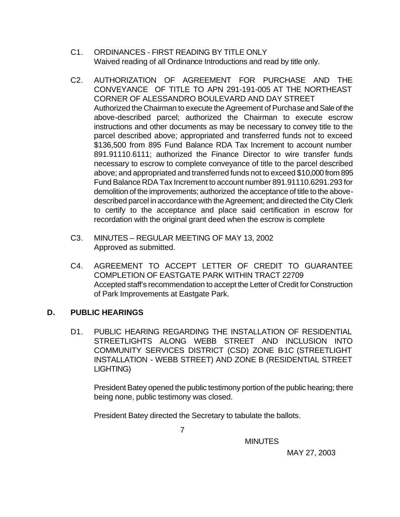- C1. ORDINANCES FIRST READING BY TITLE ONLY Waived reading of all Ordinance Introductions and read by title only.
- C2. AUTHORIZATION OF AGREEMENT FOR PURCHASE AND THE CONVEYANCE OF TITLE TO APN 291-191-005 AT THE NORTHEAST CORNER OF ALESSANDRO BOULEVARD AND DAY STREET Authorized the Chairman to execute the Agreement of Purchase and Sale of the above-described parcel; authorized the Chairman to execute escrow instructions and other documents as may be necessary to convey title to the parcel described above; appropriated and transferred funds not to exceed \$136,500 from 895 Fund Balance RDA Tax Increment to account number 891.91110.6111; authorized the Finance Director to wire transfer funds necessary to escrow to complete conveyance of title to the parcel described above; and appropriated and transferred funds not to exceed \$10,000 from 895 Fund Balance RDA Tax Increment to account number 891.91110.6291.293 for demolition of the improvements; authorized the acceptance of title to the abovedescribed parcel in accordance with the Agreement; and directed the City Clerk to certify to the acceptance and place said certification in escrow for recordation with the original grant deed when the escrow is complete
- C3. MINUTES REGULAR MEETING OF MAY 13, 2002 Approved as submitted.
- C4. AGREEMENT TO ACCEPT LETTER OF CREDIT TO GUARANTEE COMPLETION OF EASTGATE PARK WITHIN TRACT 22709 Accepted staff's recommendation to accept the Letter of Credit for Construction of Park Improvements at Eastgate Park.

## **D. PUBLIC HEARINGS**

D1. PUBLIC HEARING REGARDING THE INSTALLATION OF RESIDENTIAL STREETLIGHTS ALONG WEBB STREET AND INCLUSION INTO COMMUNITY SERVICES DISTRICT (CSD) ZONE B1C (STREETLIGHT INSTALLATION - WEBB STREET) AND ZONE B (RESIDENTIAL STREET LIGHTING)

President Batey opened the public testimony portion of the public hearing; there being none, public testimony was closed.

President Batey directed the Secretary to tabulate the ballots.

7

**MINUTES**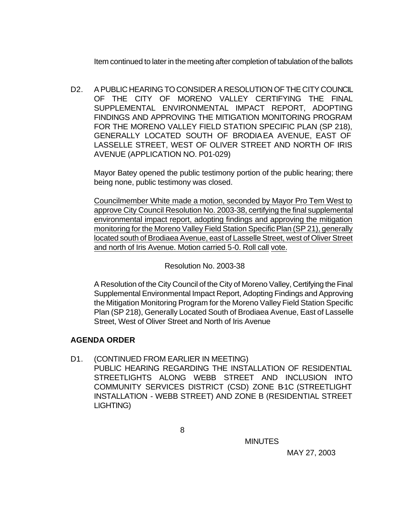Item continued to later in the meeting after completion of tabulation of the ballots

D2. A PUBLIC HEARING TO CONSIDER A RESOLUTION OF THE CITY COUNCIL OF THE CITY OF MORENO VALLEY CERTIFYING THE FINAL SUPPLEMENTAL ENVIRONMENTAL IMPACT REPORT, ADOPTING FINDINGS AND APPROVING THE MITIGATION MONITORING PROGRAM FOR THE MORENO VALLEY FIELD STATION SPECIFIC PLAN (SP 218), GENERALLY LOCATED SOUTH OF BRODIAEA AVENUE, EAST OF LASSELLE STREET, WEST OF OLIVER STREET AND NORTH OF IRIS AVENUE (APPLICATION NO. P01-029)

Mayor Batey opened the public testimony portion of the public hearing; there being none, public testimony was closed.

Councilmember White made a motion, seconded by Mayor Pro Tem West to approve City Council Resolution No. 2003-38, certifying the final supplemental environmental impact report, adopting findings and approving the mitigation monitoring for the Moreno Valley Field Station Specific Plan (SP 21), generally located south of Brodiaea Avenue, east of Lasselle Street, west of Oliver Street and north of Iris Avenue. Motion carried 5-0. Roll call vote.

#### Resolution No. 2003-38

A Resolution of the City Council of the City of Moreno Valley, Certifying the Final Supplemental Environmental Impact Report, Adopting Findings and Approving the Mitigation Monitoring Program for the Moreno Valley Field Station Specific Plan (SP 218), Generally Located South of Brodiaea Avenue, East of Lasselle Street, West of Oliver Street and North of Iris Avenue

## **AGENDA ORDER**

D1. (CONTINUED FROM EARLIER IN MEETING)

PUBLIC HEARING REGARDING THE INSTALLATION OF RESIDENTIAL STREETLIGHTS ALONG WEBB STREET AND INCLUSION INTO COMMUNITY SERVICES DISTRICT (CSD) ZONE B1C (STREETLIGHT INSTALLATION - WEBB STREET) AND ZONE B (RESIDENTIAL STREET LIGHTING)

**MINUTES**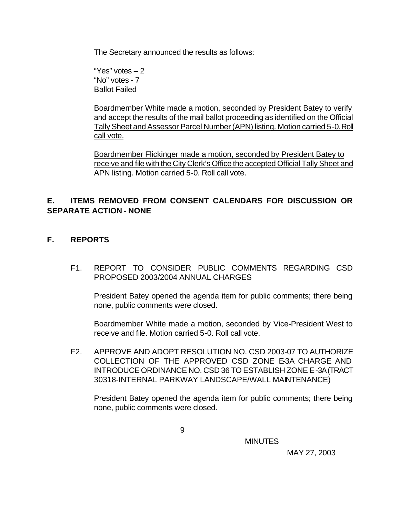The Secretary announced the results as follows:

"Yes" votes – 2 "No" votes - 7 Ballot Failed

Boardmember White made a motion, seconded by President Batey to verify and accept the results of the mail ballot proceeding as identified on the Official Tally Sheet and Assessor Parcel Number (APN) listing. Motion carried 5-0. Roll call vote.

Boardmember Flickinger made a motion, seconded by President Batey to receive and file with the City Clerk's Office the accepted Official Tally Sheet and APN listing. Motion carried 5-0. Roll call vote.

# **E. ITEMS REMOVED FROM CONSENT CALENDARS FOR DISCUSSION OR SEPARATE ACTION - NONE**

- **F. REPORTS**
	- F1. REPORT TO CONSIDER PUBLIC COMMENTS REGARDING CSD PROPOSED 2003/2004 ANNUAL CHARGES

President Batey opened the agenda item for public comments; there being none, public comments were closed.

Boardmember White made a motion, seconded by Vice-President West to receive and file. Motion carried 5-0. Roll call vote.

F2. APPROVE AND ADOPT RESOLUTION NO. CSD 2003-07 TO AUTHORIZE COLLECTION OF THE APPROVED CSD ZONE E-3A CHARGE AND INTRODUCE ORDINANCE NO. CSD 36 TO ESTABLISH ZONE E-3A (TRACT 30318-INTERNAL PARKWAY LANDSCAPE/WALL MAINTENANCE)

President Batey opened the agenda item for public comments; there being none, public comments were closed.

9

**MINUTES**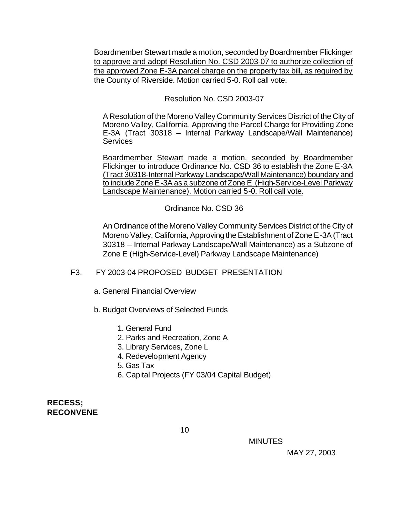Boardmember Stewart made a motion, seconded by Boardmember Flickinger to approve and adopt Resolution No. CSD 2003-07 to authorize collection of the approved Zone E-3A parcel charge on the property tax bill, as required by the County of Riverside. Motion carried 5-0. Roll call vote.

Resolution No. CSD 2003-07

A Resolution of the Moreno Valley Community Services District of the City of Moreno Valley, California, Approving the Parcel Charge for Providing Zone E-3A (Tract 30318 – Internal Parkway Landscape/Wall Maintenance) **Services** 

Boardmember Stewart made a motion, seconded by Boardmember Flickinger to introduce Ordinance No. CSD 36 to establish the Zone E-3A (Tract 30318-Internal Parkway Landscape/Wall Maintenance) boundary and to include Zone E-3A as a subzone of Zone E (High-Service-Level Parkway Landscape Maintenance). Motion carried 5-0. Roll call vote.

#### Ordinance No. CSD 36

An Ordinance of the Moreno Valley Community Services District of the City of Moreno Valley, California, Approving the Establishment of Zone E-3A (Tract 30318 – Internal Parkway Landscape/Wall Maintenance) as a Subzone of Zone E (High-Service-Level) Parkway Landscape Maintenance)

## F3. FY 2003-04 PROPOSED BUDGET PRESENTATION

- a. General Financial Overview
- b. Budget Overviews of Selected Funds
	- 1. General Fund
	- 2. Parks and Recreation, Zone A
	- 3. Library Services, Zone L
	- 4. Redevelopment Agency
	- 5. Gas Tax
	- 6. Capital Projects (FY 03/04 Capital Budget)

## **RECESS; RECONVENE**

 $10<sub>1</sub>$ 

MINUTES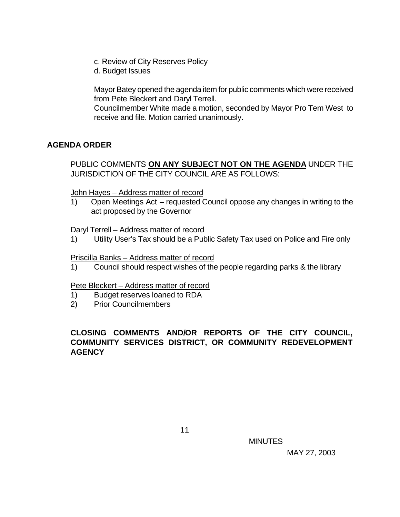- c. Review of City Reserves Policy
- d. Budget Issues

Mayor Batey opened the agenda item for public comments which were received from Pete Bleckert and Daryl Terrell.

Councilmember White made a motion, seconded by Mayor Pro Tem West to receive and file. Motion carried unanimously.

## **AGENDA ORDER**

PUBLIC COMMENTS **ON ANY SUBJECT NOT ON THE AGENDA** UNDER THE JURISDICTION OF THE CITY COUNCIL ARE AS FOLLOWS:

John Hayes – Address matter of record

1) Open Meetings Act – requested Council oppose any changes in writing to the act proposed by the Governor

#### Daryl Terrell – Address matter of record

1) Utility User's Tax should be a Public Safety Tax used on Police and Fire only

### Priscilla Banks – Address matter of record

1) Council should respect wishes of the people regarding parks & the library

#### Pete Bleckert – Address matter of record

- 1) Budget reserves loaned to RDA
- 2) Prior Councilmembers

# **CLOSING COMMENTS AND/OR REPORTS OF THE CITY COUNCIL, COMMUNITY SERVICES DISTRICT, OR COMMUNITY REDEVELOPMENT AGENCY**

MINUTES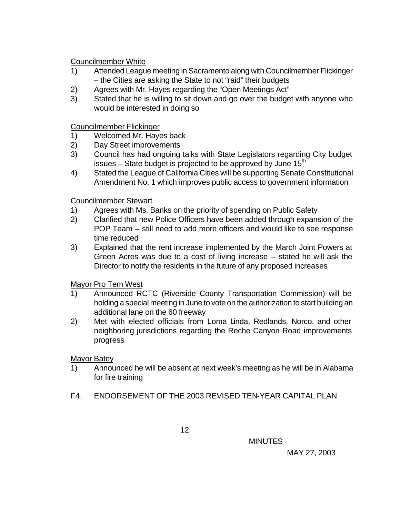Councilmember White

- 1) Attended League meeting in Sacramento along with Councilmember Flickinger – the Cities are asking the State to not "raid" their budgets
- 2) Agrees with Mr. Hayes regarding the "Open Meetings Act"
- 3) Stated that he is willing to sit down and go over the budget with anyone who would be interested in doing so

Councilmember Flickinger

- 1) Welcomed Mr. Hayes back
- 2) Day Street improvements
- 3) Council has had ongoing talks with State Legislators regarding City budget issues  $-$  State budget is projected to be approved by June 15<sup>th</sup>
- 4) Stated the League of California Cities will be supporting Senate Constitutional Amendment No. 1 which improves public access to government information

#### Councilmember Stewart

- 1) Agrees with Ms. Banks on the priority of spending on Public Safety
- 2) Clarified that new Police Officers have been added through expansion of the POP Team – still need to add more officers and would like to see response time reduced
- 3) Explained that the rent increase implemented by the March Joint Powers at Green Acres was due to a cost of living increase – stated he will ask the Director to notify the residents in the future of any proposed increases

Mayor Pro Tem West

- 1) Announced RCTC (Riverside County Transportation Commission) will be holding a special meeting in June to vote on the authorization to start building an additional lane on the 60 freeway
- 2) Met with elected officials from Loma Linda, Redlands, Norco, and other neighboring jurisdictions regarding the Reche Canyon Road improvements progress

Mayor Batey

- 1) Announced he will be absent at next week's meeting as he will be in Alabama for fire training
- F4. ENDORSEMENT OF THE 2003 REVISED TEN-YEAR CAPITAL PLAN

MINUTES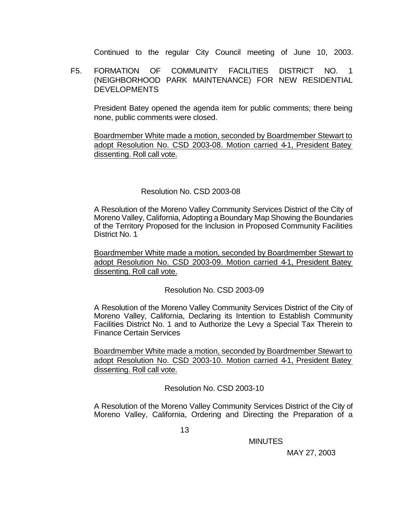Continued to the regular City Council meeting of June 10, 2003.

F5. FORMATION OF COMMUNITY FACILITIES DISTRICT NO. 1 (NEIGHBORHOOD PARK MAINTENANCE) FOR NEW RESIDENTIAL DEVELOPMENTS

President Batey opened the agenda item for public comments; there being none, public comments were closed.

Boardmember White made a motion, seconded by Boardmember Stewart to adopt Resolution No. CSD 2003-08. Motion carried 4-1, President Batey dissenting. Roll call vote.

#### Resolution No. CSD 2003-08

A Resolution of the Moreno Valley Community Services District of the City of Moreno Valley, California, Adopting a Boundary Map Showing the Boundaries of the Territory Proposed for the Inclusion in Proposed Community Facilities District No. 1

Boardmember White made a motion, seconded by Boardmember Stewart to adopt Resolution No. CSD 2003-09. Motion carried 4-1, President Batey dissenting. Roll call vote.

Resolution No. CSD 2003-09

A Resolution of the Moreno Valley Community Services District of the City of Moreno Valley, California, Declaring its Intention to Establish Community Facilities District No. 1 and to Authorize the Levy a Special Tax Therein to Finance Certain Services

Boardmember White made a motion, seconded by Boardmember Stewart to adopt Resolution No. CSD 2003-10. Motion carried 4-1, President Batey dissenting. Roll call vote.

Resolution No. CSD 2003-10

A Resolution of the Moreno Valley Community Services District of the City of Moreno Valley, California, Ordering and Directing the Preparation of a

MINUTES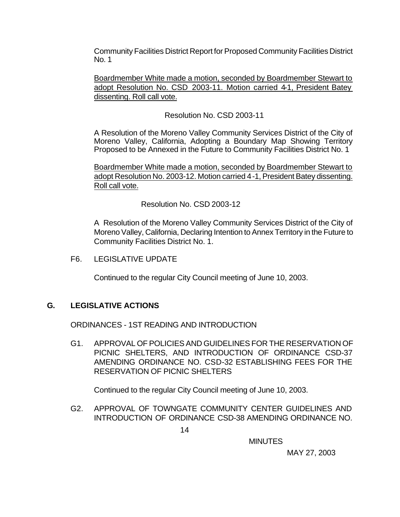Community Facilities District Report for Proposed Community Facilities District No. 1

Boardmember White made a motion, seconded by Boardmember Stewart to adopt Resolution No. CSD 2003-11. Motion carried 4-1, President Batey dissenting. Roll call vote.

Resolution No. CSD 2003-11

A Resolution of the Moreno Valley Community Services District of the City of Moreno Valley, California, Adopting a Boundary Map Showing Territory Proposed to be Annexed in the Future to Community Facilities District No. 1

Boardmember White made a motion, seconded by Boardmember Stewart to adopt Resolution No. 2003-12. Motion carried 4-1, President Batey dissenting. Roll call vote.

Resolution No. CSD 2003-12

A Resolution of the Moreno Valley Community Services District of the City of Moreno Valley, California, Declaring Intention to Annex Territory in the Future to Community Facilities District No. 1.

F6. LEGISLATIVE UPDATE

Continued to the regular City Council meeting of June 10, 2003.

## **G. LEGISLATIVE ACTIONS**

ORDINANCES - 1ST READING AND INTRODUCTION

G1. APPROVAL OF POLICIES AND GUIDELINES FOR THE RESERVATION OF PICNIC SHELTERS, AND INTRODUCTION OF ORDINANCE CSD-37 AMENDING ORDINANCE NO. CSD-32 ESTABLISHING FEES FOR THE RESERVATION OF PICNIC SHELTERS

Continued to the regular City Council meeting of June 10, 2003.

G2. APPROVAL OF TOWNGATE COMMUNITY CENTER GUIDELINES AND INTRODUCTION OF ORDINANCE CSD-38 AMENDING ORDINANCE NO.

MINUTES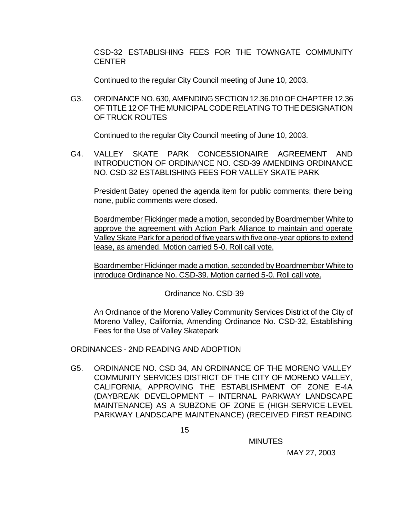CSD-32 ESTABLISHING FEES FOR THE TOWNGATE COMMUNITY **CENTER** 

Continued to the regular City Council meeting of June 10, 2003.

G3. ORDINANCE NO. 630, AMENDING SECTION 12.36.010 OF CHAPTER 12.36 OF TITLE 12 OF THE MUNICIPAL CODE RELATING TO THE DESIGNATION OF TRUCK ROUTES

Continued to the regular City Council meeting of June 10, 2003.

G4. VALLEY SKATE PARK CONCESSIONAIRE AGREEMENT AND INTRODUCTION OF ORDINANCE NO. CSD-39 AMENDING ORDINANCE NO. CSD-32 ESTABLISHING FEES FOR VALLEY SKATE PARK

President Batey opened the agenda item for public comments; there being none, public comments were closed.

Boardmember Flickinger made a motion, seconded by Boardmember White to approve the agreement with Action Park Alliance to maintain and operate Valley Skate Park for a period of five years with five one-year options to extend lease, as amended. Motion carried 5-0. Roll call vote.

Boardmember Flickinger made a motion, seconded by Boardmember White to introduce Ordinance No. CSD-39. Motion carried 5-0. Roll call vote.

Ordinance No. CSD-39

An Ordinance of the Moreno Valley Community Services District of the City of Moreno Valley, California, Amending Ordinance No. CSD-32, Establishing Fees for the Use of Valley Skatepark

ORDINANCES - 2ND READING AND ADOPTION

G5. ORDINANCE NO. CSD 34, AN ORDINANCE OF THE MORENO VALLEY COMMUNITY SERVICES DISTRICT OF THE CITY OF MORENO VALLEY, CALIFORNIA, APPROVING THE ESTABLISHMENT OF ZONE E-4A (DAYBREAK DEVELOPMENT – INTERNAL PARKWAY LANDSCAPE MAINTENANCE) AS A SUBZONE OF ZONE E (HIGH-SERVICE-LEVEL PARKWAY LANDSCAPE MAINTENANCE) (RECEIVED FIRST READING

MINUTES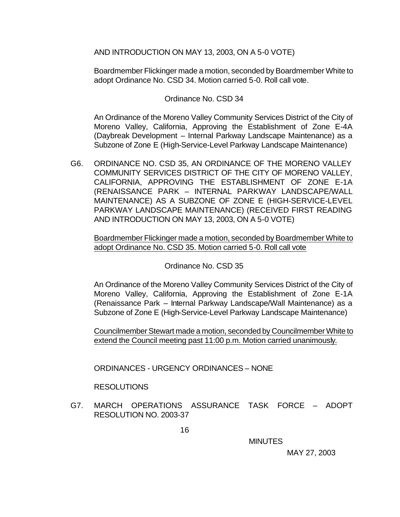AND INTRODUCTION ON MAY 13, 2003, ON A 5-0 VOTE)

Boardmember Flickinger made a motion, seconded by Boardmember White to adopt Ordinance No. CSD 34. Motion carried 5-0. Roll call vote.

#### Ordinance No. CSD 34

An Ordinance of the Moreno Valley Community Services District of the City of Moreno Valley, California, Approving the Establishment of Zone E-4A (Daybreak Development – Internal Parkway Landscape Maintenance) as a Subzone of Zone E (High-Service-Level Parkway Landscape Maintenance)

G6. ORDINANCE NO. CSD 35, AN ORDINANCE OF THE MORENO VALLEY COMMUNITY SERVICES DISTRICT OF THE CITY OF MORENO VALLEY, CALIFORNIA, APPROVING THE ESTABLISHMENT OF ZONE E-1A (RENAISSANCE PARK – INTERNAL PARKWAY LANDSCAPE/WALL MAINTENANCE) AS A SUBZONE OF ZONE E (HIGH-SERVICE-LEVEL PARKWAY LANDSCAPE MAINTENANCE) (RECEIVED FIRST READING AND INTRODUCTION ON MAY 13, 2003, ON A 5-0 VOTE)

Boardmember Flickinger made a motion, seconded by Boardmember White to adopt Ordinance No. CSD 35. Motion carried 5-0. Roll call vote

Ordinance No. CSD 35

An Ordinance of the Moreno Valley Community Services District of the City of Moreno Valley, California, Approving the Establishment of Zone E-1A (Renaissance Park – Internal Parkway Landscape/Wall Maintenance) as a Subzone of Zone E (High-Service-Level Parkway Landscape Maintenance)

Councilmember Stewart made a motion, seconded by Councilmember White to extend the Council meeting past 11:00 p.m. Motion carried unanimously.

ORDINANCES - URGENCY ORDINANCES – NONE

#### RESOLUTIONS

G7. MARCH OPERATIONS ASSURANCE TASK FORCE – ADOPT RESOLUTION NO. 2003-37

MINUTES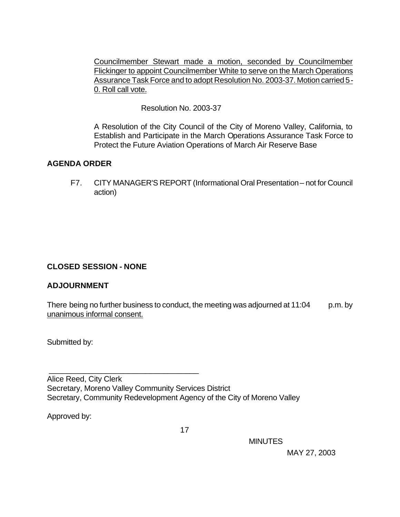Councilmember Stewart made a motion, seconded by Councilmember Flickinger to appoint Councilmember White to serve on the March Operations Assurance Task Force and to adopt Resolution No. 2003-37. Motion carried 5- 0. Roll call vote.

Resolution No. 2003-37

A Resolution of the City Council of the City of Moreno Valley, California, to Establish and Participate in the March Operations Assurance Task Force to Protect the Future Aviation Operations of March Air Reserve Base

## **AGENDA ORDER**

F7. CITY MANAGER'S REPORT (Informational Oral Presentation – not for Council action)

## **CLOSED SESSION - NONE**

\_\_\_\_\_\_\_\_\_\_\_\_\_\_\_\_\_\_\_\_\_\_\_\_\_\_\_\_\_\_\_\_\_\_

#### **ADJOURNMENT**

There being no further business to conduct, the meeting was adjourned at  $11:04$  p.m. by unanimous informal consent.

Submitted by:

Alice Reed, City Clerk Secretary, Moreno Valley Community Services District Secretary, Community Redevelopment Agency of the City of Moreno Valley

Approved by:

MINUTES